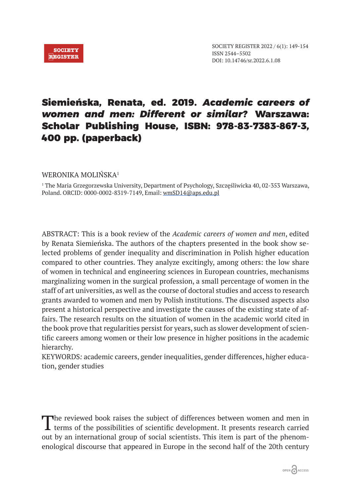

## Siemieńska, Renata, ed. 2019. *Academic careers of women and men: Different or similar?* Warszawa: Scholar Publishing House, ISBN: 978-83-7383-867-3, 400 pp. (paperback)

WERONIKA MOLIŃSKA<sup>1</sup>

1 The Maria Grzegorzewska University, Department of Psychology, Szczęśliwicka 40, 02-353 Warszawa, Poland. ORCID: 0000-0002-8319-7149, Email: wmSD14@aps.edu.pl

ABSTRACT: This is a book review of the *Academic careers of women and men*, edited by Renata Siemieńska. The authors of the chapters presented in the book show selected problems of gender inequality and discrimination in Polish higher education compared to other countries. They analyze excitingly, among others: the low share of women in technical and engineering sciences in European countries, mechanisms marginalizing women in the surgical profession, a small percentage of women in the staff of art universities, as well as the course of doctoral studies and access to research grants awarded to women and men by Polish institutions. The discussed aspects also present a historical perspective and investigate the causes of the existing state of affairs. The research results on the situation of women in the academic world cited in the book prove that regularities persist for years, such as slower development of scientific careers among women or their low presence in higher positions in the academic hierarchy.

KEYWORDS*:* academic careers, gender inequalities, gender differences, higher education, gender studies

The reviewed book raises the subject of differences between women and men in terms of the possibilities of scientific development. It presents research carried out by an international group of social scientists. This item is part of the phenomenological discourse that appeared in Europe in the second half of the 20th century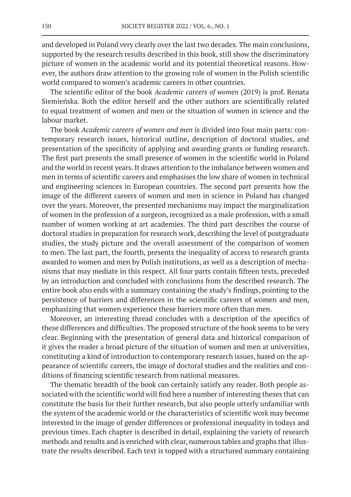and developed in Poland very clearly over the last two decades. The main conclusions, supported by the research results described in this book, still show the discriminatory picture of women in the academic world and its potential theoretical reasons. However, the authors draw attention to the growing role of women in the Polish scientific world compared to women's academic careers in other countries.

The scientific editor of the book *Academic careers of women* (2019) is prof. Renata Siemieńska. Both the editor herself and the other authors are scientifically related to equal treatment of women and men or the situation of women in science and the labour market.

The book *Academic careers of women and men* is divided into four main parts: contemporary research issues, historical outline, description of doctoral studies, and presentation of the specificity of applying and awarding grants or funding research. The first part presents the small presence of women in the scientific world in Poland and the world in recent years. It draws attention to the imbalance between women and men in terms of scientific careers and emphasises the low share of women in technical and engineering sciences in European countries. The second part presents how the image of the different careers of women and men in science in Poland has changed over the years. Moreover, the presented mechanisms may impact the marginalization of women in the profession of a surgeon, recognized as a male profession, with a small number of women working at art academies. The third part describes the course of doctoral studies in preparation for research work, describing the level of postgraduate studies, the study picture and the overall assessment of the comparison of women to men. The last part, the fourth, presents the inequality of access to research grants awarded to women and men by Polish institutions, as well as a description of mechanisms that may mediate in this respect. All four parts contain fifteen texts, preceded by an introduction and concluded with conclusions from the described research. The entire book also ends with a summary containing the study's findings, pointing to the persistence of barriers and differences in the scientific careers of women and men, emphasizing that women experience these barriers more often than men.

Moreover, an interesting thread concludes with a description of the specifics of these differences and difficulties. The proposed structure of the book seems to be very clear. Beginning with the presentation of general data and historical comparison of it gives the reader a broad picture of the situation of women and men at universities, constituting a kind of introduction to contemporary research issues, based on the appearance of scientific careers, the image of doctoral studies and the realities and conditions of financing scientific research from national measures.

The thematic breadth of the book can certainly satisfy any reader. Both people associated with the scientific world will find here a number of interesting theses that can constitute the basis for their further research, but also people utterly unfamiliar with the system of the academic world or the characteristics of scientific work may become interested in the image of gender differences or professional inequality in todays and previous times. Each chapter is described in detail, explaining the variety of research methods and results and is enriched with clear, numerous tables and graphs that illustrate the results described. Each text is topped with a structured summary containing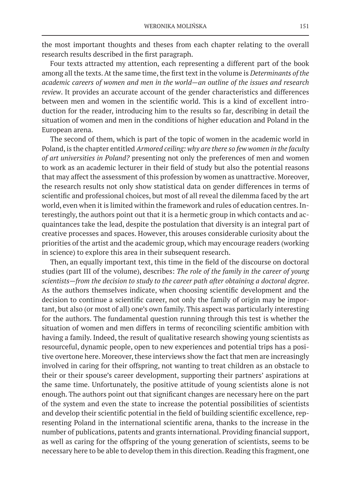the most important thoughts and theses from each chapter relating to the overall research results described in the first paragraph.

Four texts attracted my attention, each representing a different part of the book among all the texts. At the same time, the first text in the volume is *Determinants of the academic careers of women and men in the world—an outline of the issues and research review*. It provides an accurate account of the gender characteristics and differences between men and women in the scientific world. This is a kind of excellent introduction for the reader, introducing him to the results so far, describing in detail the situation of women and men in the conditions of higher education and Poland in the European arena.

The second of them, which is part of the topic of women in the academic world in Poland, is the chapter entitled *Armored ceiling: why are there so few women in the faculty of art universities in Poland?* presenting not only the preferences of men and women to work as an academic lecturer in their field of study but also the potential reasons that may affect the assessment of this profession by women as unattractive. Moreover, the research results not only show statistical data on gender differences in terms of scientific and professional choices, but most of all reveal the dilemma faced by the art world, even when it is limited within the framework and rules of education centres. Interestingly, the authors point out that it is a hermetic group in which contacts and acquaintances take the lead, despite the postulation that diversity is an integral part of creative processes and spaces. However, this arouses considerable curiosity about the priorities of the artist and the academic group, which may encourage readers (working in science) to explore this area in their subsequent research.

Then, an equally important text, this time in the field of the discourse on doctoral studies (part III of the volume), describes: *The role of the family in the career of young scientists—from the decision to study to the career path after obtaining a doctoral degree*. As the authors themselves indicate, when choosing scientific development and the decision to continue a scientific career, not only the family of origin may be important, but also (or most of all) one's own family. This aspect was particularly interesting for the authors. The fundamental question running through this test is whether the situation of women and men differs in terms of reconciling scientific ambition with having a family. Indeed, the result of qualitative research showing young scientists as resourceful, dynamic people, open to new experiences and potential trips has a positive overtone here. Moreover, these interviews show the fact that men are increasingly involved in caring for their offspring, not wanting to treat children as an obstacle to their or their spouse's career development, supporting their partners' aspirations at the same time. Unfortunately, the positive attitude of young scientists alone is not enough. The authors point out that significant changes are necessary here on the part of the system and even the state to increase the potential possibilities of scientists and develop their scientific potential in the field of building scientific excellence, representing Poland in the international scientific arena, thanks to the increase in the number of publications, patents and grants international. Providing financial support, as well as caring for the offspring of the young generation of scientists, seems to be necessary here to be able to develop them in this direction. Reading this fragment, one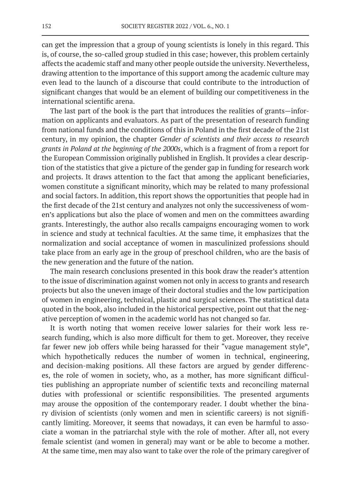can get the impression that a group of young scientists is lonely in this regard. This is, of course, the so-called group studied in this case; however, this problem certainly affects the academic staff and many other people outside the university. Nevertheless, drawing attention to the importance of this support among the academic culture may even lead to the launch of a discourse that could contribute to the introduction of significant changes that would be an element of building our competitiveness in the international scientific arena.

The last part of the book is the part that introduces the realities of grants—information on applicants and evaluators. As part of the presentation of research funding from national funds and the conditions of this in Poland in the first decade of the 21st century, in my opinion, the chapter *Gender of scientists and their access to research grants in Poland at the beginning of the 2000s*, which is a fragment of from a report for the European Commission originally published in English. It provides a clear description of the statistics that give a picture of the gender gap in funding for research work and projects. It draws attention to the fact that among the applicant beneficiaries, women constitute a significant minority, which may be related to many professional and social factors. In addition, this report shows the opportunities that people had in the first decade of the 21st century and analyzes not only the successiveness of women's applications but also the place of women and men on the committees awarding grants. Interestingly, the author also recalls campaigns encouraging women to work in science and study at technical faculties. At the same time, it emphasizes that the normalization and social acceptance of women in masculinized professions should take place from an early age in the group of preschool children, who are the basis of the new generation and the future of the nation.

The main research conclusions presented in this book draw the reader's attention to the issue of discrimination against women not only in access to grants and research projects but also the uneven image of their doctoral studies and the low participation of women in engineering, technical, plastic and surgical sciences. The statistical data quoted in the book, also included in the historical perspective, point out that the negative perception of women in the academic world has not changed so far.

It is worth noting that women receive lower salaries for their work less research funding, which is also more difficult for them to get. Moreover, they receive far fewer new job offers while being harassed for their "vague management style", which hypothetically reduces the number of women in technical, engineering, and decision-making positions. All these factors are argued by gender differences, the role of women in society, who, as a mother, has more significant difficulties publishing an appropriate number of scientific texts and reconciling maternal duties with professional or scientific responsibilities. The presented arguments may arouse the opposition of the contemporary reader. I doubt whether the binary division of scientists (only women and men in scientific careers) is not significantly limiting. Moreover, it seems that nowadays, it can even be harmful to associate a woman in the patriarchal style with the role of mother. After all, not every female scientist (and women in general) may want or be able to become a mother. At the same time, men may also want to take over the role of the primary caregiver of